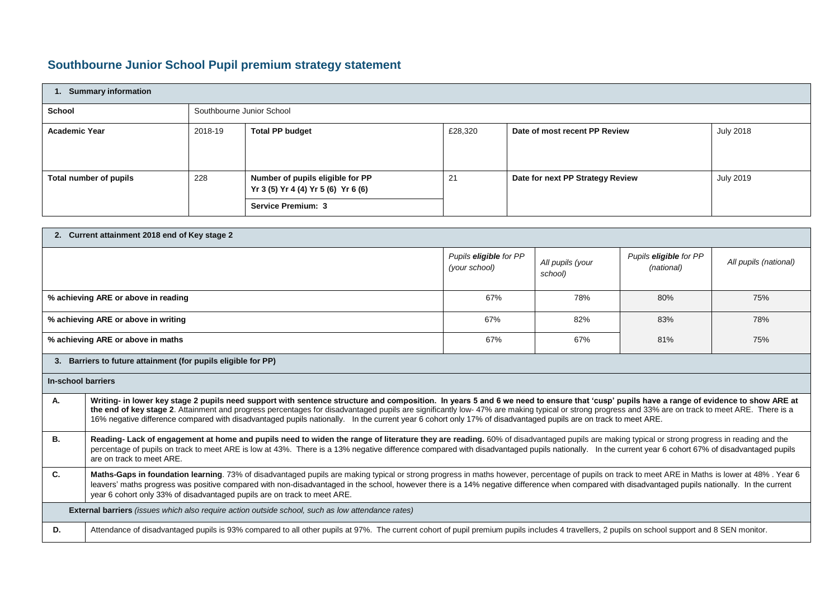## **Southbourne Junior School Pupil premium strategy statement**

| <b>Summary information</b> |                           |                                                                         |         |                                  |                  |  |  |
|----------------------------|---------------------------|-------------------------------------------------------------------------|---------|----------------------------------|------------------|--|--|
| <b>School</b>              | Southbourne Junior School |                                                                         |         |                                  |                  |  |  |
| <b>Academic Year</b>       | 2018-19                   | <b>Total PP budget</b>                                                  | £28,320 | Date of most recent PP Review    | <b>July 2018</b> |  |  |
| Total number of pupils     | 228                       | Number of pupils eligible for PP<br>Yr 3 (5) Yr 4 (4) Yr 5 (6) Yr 6 (6) | 21      | Date for next PP Strategy Review | <b>July 2019</b> |  |  |
|                            |                           | <b>Service Premium: 3</b>                                               |         |                                  |                  |  |  |

| 2. Current attainment 2018 end of Key stage 2                                                                                                                                                                                                                                                                                                                                                                                                                                                                                                                         |                                                                                                                                                                                                                                                                                                                                                                                                                                                                                    |                                         |                             |                                      |                       |  |  |
|-----------------------------------------------------------------------------------------------------------------------------------------------------------------------------------------------------------------------------------------------------------------------------------------------------------------------------------------------------------------------------------------------------------------------------------------------------------------------------------------------------------------------------------------------------------------------|------------------------------------------------------------------------------------------------------------------------------------------------------------------------------------------------------------------------------------------------------------------------------------------------------------------------------------------------------------------------------------------------------------------------------------------------------------------------------------|-----------------------------------------|-----------------------------|--------------------------------------|-----------------------|--|--|
|                                                                                                                                                                                                                                                                                                                                                                                                                                                                                                                                                                       |                                                                                                                                                                                                                                                                                                                                                                                                                                                                                    | Pupils eligible for PP<br>(your school) | All pupils (your<br>school) | Pupils eligible for PP<br>(national) | All pupils (national) |  |  |
|                                                                                                                                                                                                                                                                                                                                                                                                                                                                                                                                                                       | % achieving ARE or above in reading                                                                                                                                                                                                                                                                                                                                                                                                                                                | 67%                                     | 78%                         | 80%                                  | 75%                   |  |  |
|                                                                                                                                                                                                                                                                                                                                                                                                                                                                                                                                                                       | % achieving ARE or above in writing                                                                                                                                                                                                                                                                                                                                                                                                                                                | 67%                                     | 82%                         | 83%                                  | 78%                   |  |  |
|                                                                                                                                                                                                                                                                                                                                                                                                                                                                                                                                                                       | % achieving ARE or above in maths                                                                                                                                                                                                                                                                                                                                                                                                                                                  | 67%                                     | 67%                         | 81%                                  | 75%                   |  |  |
|                                                                                                                                                                                                                                                                                                                                                                                                                                                                                                                                                                       | 3. Barriers to future attainment (for pupils eligible for PP)                                                                                                                                                                                                                                                                                                                                                                                                                      |                                         |                             |                                      |                       |  |  |
| In-school barriers                                                                                                                                                                                                                                                                                                                                                                                                                                                                                                                                                    |                                                                                                                                                                                                                                                                                                                                                                                                                                                                                    |                                         |                             |                                      |                       |  |  |
| А.<br>Writing- in lower key stage 2 pupils need support with sentence structure and composition. In years 5 and 6 we need to ensure that 'cusp' pupils have a range of evidence to show ARE at<br>the end of key stage 2. Attainment and progress percentages for disadvantaged pupils are significantly low-47% are making typical or strong progress and 33% are on track to meet ARE. There is a<br>16% negative difference compared with disadvantaged pupils nationally. In the current year 6 cohort only 17% of disadvantaged pupils are on track to meet ARE. |                                                                                                                                                                                                                                                                                                                                                                                                                                                                                    |                                         |                             |                                      |                       |  |  |
| В.                                                                                                                                                                                                                                                                                                                                                                                                                                                                                                                                                                    | Reading- Lack of engagement at home and pupils need to widen the range of literature they are reading. 60% of disadvantaged pupils are making typical or strong progress in reading and the<br>percentage of pupils on track to meet ARE is low at 43%. There is a 13% negative difference compared with disadvantaged pupils nationally. In the current year 6 cohort 67% of disadvantaged pupils<br>are on track to meet ARE.                                                    |                                         |                             |                                      |                       |  |  |
| C.                                                                                                                                                                                                                                                                                                                                                                                                                                                                                                                                                                    | Maths-Gaps in foundation learning. 73% of disadvantaged pupils are making typical or strong progress in maths however, percentage of pupils on track to meet ARE in Maths is lower at 48%. Year 6<br>leavers' maths progress was positive compared with non-disadvantaged in the school, however there is a 14% negative difference when compared with disadvantaged pupils nationally. In the current<br>year 6 cohort only 33% of disadvantaged pupils are on track to meet ARE. |                                         |                             |                                      |                       |  |  |
|                                                                                                                                                                                                                                                                                                                                                                                                                                                                                                                                                                       | <b>External barriers</b> (issues which also require action outside school, such as low attendance rates)                                                                                                                                                                                                                                                                                                                                                                           |                                         |                             |                                      |                       |  |  |
| D.                                                                                                                                                                                                                                                                                                                                                                                                                                                                                                                                                                    | Attendance of disadvantaged pupils is 93% compared to all other pupils at 97%. The current cohort of pupil premium pupils includes 4 travellers, 2 pupils on school support and 8 SEN monitor.                                                                                                                                                                                                                                                                                     |                                         |                             |                                      |                       |  |  |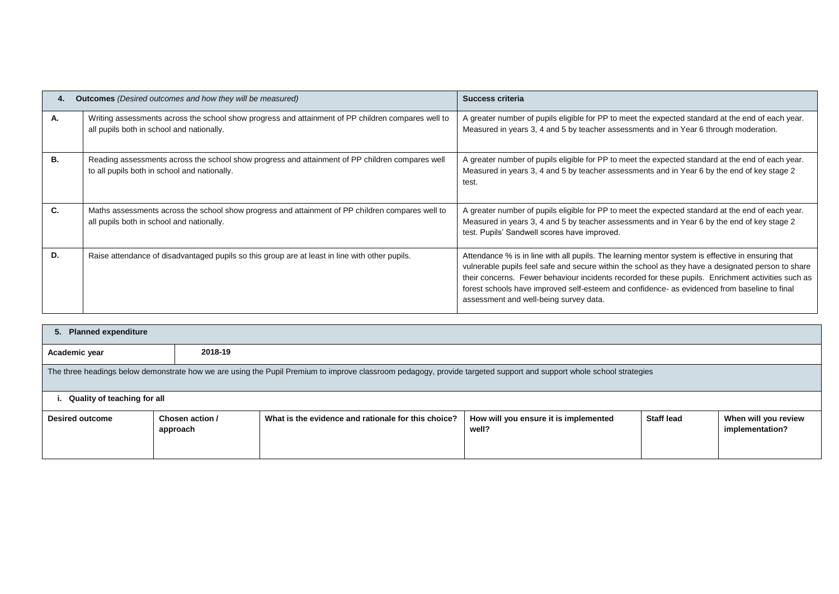|    | <b>Outcomes</b> (Desired outcomes and how they will be measured)                                                                                | Success criteria                                                                                                                                                                                                                                                                                                                                                                                                                                        |  |  |
|----|-------------------------------------------------------------------------------------------------------------------------------------------------|---------------------------------------------------------------------------------------------------------------------------------------------------------------------------------------------------------------------------------------------------------------------------------------------------------------------------------------------------------------------------------------------------------------------------------------------------------|--|--|
| А. | Writing assessments across the school show progress and attainment of PP children compares well to<br>all pupils both in school and nationally. | A greater number of pupils eligible for PP to meet the expected standard at the end of each year.<br>Measured in years 3, 4 and 5 by teacher assessments and in Year 6 through moderation.                                                                                                                                                                                                                                                              |  |  |
| В. | Reading assessments across the school show progress and attainment of PP children compares well<br>to all pupils both in school and nationally. | A greater number of pupils eligible for PP to meet the expected standard at the end of each year.<br>Measured in years 3, 4 and 5 by teacher assessments and in Year 6 by the end of key stage 2<br>test.                                                                                                                                                                                                                                               |  |  |
| C. | Maths assessments across the school show progress and attainment of PP children compares well to<br>all pupils both in school and nationally.   | A greater number of pupils eligible for PP to meet the expected standard at the end of each year.<br>Measured in years 3, 4 and 5 by teacher assessments and in Year 6 by the end of key stage 2<br>test. Pupils' Sandwell scores have improved.                                                                                                                                                                                                        |  |  |
| D. | Raise attendance of disadvantaged pupils so this group are at least in line with other pupils.                                                  | Attendance % is in line with all pupils. The learning mentor system is effective in ensuring that<br>vulnerable pupils feel safe and secure within the school as they have a designated person to share<br>their concerns. Fewer behaviour incidents recorded for these pupils. Enrichment activities such as<br>forest schools have improved self-esteem and confidence- as evidenced from baseline to final<br>assessment and well-being survey data. |  |  |

| 5. Planned expenditure |                                                                                                                                                                     |                                                     |                                                |                   |                                         |  |  |
|------------------------|---------------------------------------------------------------------------------------------------------------------------------------------------------------------|-----------------------------------------------------|------------------------------------------------|-------------------|-----------------------------------------|--|--|
| Academic year          | 2018-19                                                                                                                                                             |                                                     |                                                |                   |                                         |  |  |
|                        | The three headings below demonstrate how we are using the Pupil Premium to improve classroom pedagogy, provide targeted support and support whole school strategies |                                                     |                                                |                   |                                         |  |  |
|                        | Quality of teaching for all                                                                                                                                         |                                                     |                                                |                   |                                         |  |  |
| <b>Desired outcome</b> | Chosen action /<br>approach                                                                                                                                         | What is the evidence and rationale for this choice? | How will you ensure it is implemented<br>well? | <b>Staff lead</b> | When will you review<br>implementation? |  |  |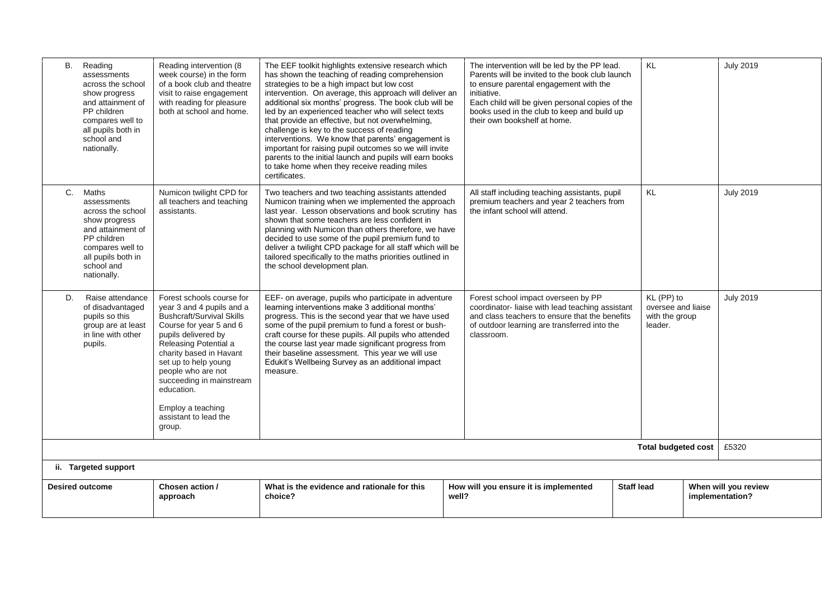| <b>B.</b>              | Reading<br>assessments<br>across the school<br>show progress<br>and attainment of<br>PP children<br>compares well to<br>all pupils both in<br>school and<br>nationally.  | Reading intervention (8<br>week course) in the form<br>of a book club and theatre<br>visit to raise engagement<br>with reading for pleasure<br>both at school and home.                                                                                                                                                                          | The EEF toolkit highlights extensive research which<br>has shown the teaching of reading comprehension<br>strategies to be a high impact but low cost<br>intervention. On average, this approach will deliver an<br>additional six months' progress. The book club will be<br>led by an experienced teacher who will select texts<br>that provide an effective, but not overwhelming,<br>challenge is key to the success of reading<br>interventions. We know that parents' engagement is<br>important for raising pupil outcomes so we will invite<br>parents to the initial launch and pupils will earn books<br>to take home when they receive reading miles<br>certificates. | The intervention will be led by the PP lead.<br>Parents will be invited to the book club launch<br>to ensure parental engagement with the<br>initiative.<br>Each child will be given personal copies of the<br>books used in the club to keep and build up<br>their own bookshelf at home. |                   | KL                                                            | <b>July 2019</b>                        |
|------------------------|--------------------------------------------------------------------------------------------------------------------------------------------------------------------------|--------------------------------------------------------------------------------------------------------------------------------------------------------------------------------------------------------------------------------------------------------------------------------------------------------------------------------------------------|----------------------------------------------------------------------------------------------------------------------------------------------------------------------------------------------------------------------------------------------------------------------------------------------------------------------------------------------------------------------------------------------------------------------------------------------------------------------------------------------------------------------------------------------------------------------------------------------------------------------------------------------------------------------------------|--------------------------------------------------------------------------------------------------------------------------------------------------------------------------------------------------------------------------------------------------------------------------------------------|-------------------|---------------------------------------------------------------|-----------------------------------------|
|                        | C. Maths<br>assessments<br>across the school<br>show progress<br>and attainment of<br>PP children<br>compares well to<br>all pupils both in<br>school and<br>nationally. | Numicon twilight CPD for<br>all teachers and teaching<br>assistants.                                                                                                                                                                                                                                                                             | Two teachers and two teaching assistants attended<br>Numicon training when we implemented the approach<br>last year. Lesson observations and book scrutiny has<br>shown that some teachers are less confident in<br>planning with Numicon than others therefore, we have<br>decided to use some of the pupil premium fund to<br>deliver a twilight CPD package for all staff which will be<br>tailored specifically to the maths priorities outlined in<br>the school development plan.                                                                                                                                                                                          | All staff including teaching assistants, pupil<br>premium teachers and year 2 teachers from<br>the infant school will attend.                                                                                                                                                              |                   | KL                                                            | <b>July 2019</b>                        |
| D.                     | Raise attendance<br>of disadvantaged<br>pupils so this<br>group are at least<br>in line with other<br>pupils.                                                            | Forest schools course for<br>year 3 and 4 pupils and a<br><b>Bushcraft/Survival Skills</b><br>Course for year 5 and 6<br>pupils delivered by<br>Releasing Potential a<br>charity based in Havant<br>set up to help young<br>people who are not<br>succeeding in mainstream<br>education.<br>Employ a teaching<br>assistant to lead the<br>group. | EEF- on average, pupils who participate in adventure<br>learning interventions make 3 additional months'<br>progress. This is the second year that we have used<br>some of the pupil premium to fund a forest or bush-<br>craft course for these pupils. All pupils who attended<br>the course last year made significant progress from<br>their baseline assessment. This year we will use<br>Edukit's Wellbeing Survey as an additional impact<br>measure.                                                                                                                                                                                                                     | Forest school impact overseen by PP<br>coordinator-liaise with lead teaching assistant<br>and class teachers to ensure that the benefits<br>of outdoor learning are transferred into the<br>classroom.                                                                                     |                   | KL (PP) to<br>oversee and liaise<br>with the group<br>leader. | <b>July 2019</b>                        |
|                        |                                                                                                                                                                          |                                                                                                                                                                                                                                                                                                                                                  |                                                                                                                                                                                                                                                                                                                                                                                                                                                                                                                                                                                                                                                                                  |                                                                                                                                                                                                                                                                                            |                   | <b>Total budgeted cost</b>                                    | £5320                                   |
|                        | ii. Targeted support                                                                                                                                                     |                                                                                                                                                                                                                                                                                                                                                  |                                                                                                                                                                                                                                                                                                                                                                                                                                                                                                                                                                                                                                                                                  |                                                                                                                                                                                                                                                                                            |                   |                                                               |                                         |
| <b>Desired outcome</b> |                                                                                                                                                                          | Chosen action /<br>approach                                                                                                                                                                                                                                                                                                                      | What is the evidence and rationale for this<br>choice?                                                                                                                                                                                                                                                                                                                                                                                                                                                                                                                                                                                                                           | How will you ensure it is implemented<br>well?                                                                                                                                                                                                                                             | <b>Staff lead</b> |                                                               | When will you review<br>implementation? |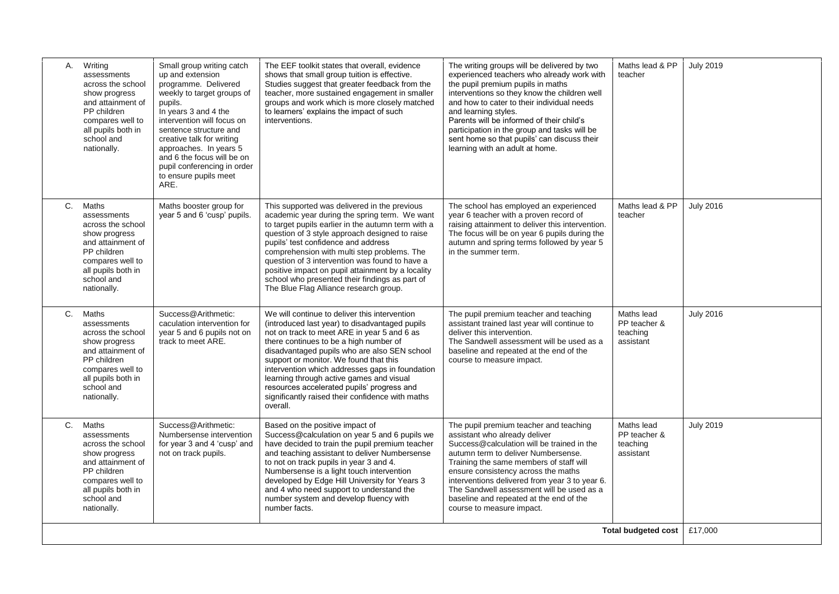| A.    | Writing<br>assessments<br>across the school<br>show progress<br>and attainment of<br>PP children<br>compares well to<br>all pupils both in<br>school and<br>nationally. | Small group writing catch<br>up and extension<br>programme. Delivered<br>weekly to target groups of<br>pupils.<br>In years 3 and 4 the<br>intervention will focus on<br>sentence structure and<br>creative talk for writing<br>approaches. In years 5<br>and 6 the focus will be on<br>pupil conferencing in order<br>to ensure pupils meet<br>ARE. | The EEF toolkit states that overall, evidence<br>shows that small group tuition is effective.<br>Studies suggest that greater feedback from the<br>teacher, more sustained engagement in smaller<br>groups and work which is more closely matched<br>to learners' explains the impact of such<br>interventions.                                                                                                                                                                                 | The writing groups will be delivered by two<br>experienced teachers who already work with<br>the pupil premium pupils in maths<br>interventions so they know the children well<br>and how to cater to their individual needs<br>and learning styles.<br>Parents will be informed of their child's<br>participation in the group and tasks will be<br>sent home so that pupils' can discuss their<br>learning with an adult at home. | Maths lead & PP<br>teacher                          | <b>July 2019</b> |
|-------|-------------------------------------------------------------------------------------------------------------------------------------------------------------------------|-----------------------------------------------------------------------------------------------------------------------------------------------------------------------------------------------------------------------------------------------------------------------------------------------------------------------------------------------------|-------------------------------------------------------------------------------------------------------------------------------------------------------------------------------------------------------------------------------------------------------------------------------------------------------------------------------------------------------------------------------------------------------------------------------------------------------------------------------------------------|-------------------------------------------------------------------------------------------------------------------------------------------------------------------------------------------------------------------------------------------------------------------------------------------------------------------------------------------------------------------------------------------------------------------------------------|-----------------------------------------------------|------------------|
| C.    | Maths<br>assessments<br>across the school<br>show progress<br>and attainment of<br>PP children<br>compares well to<br>all pupils both in<br>school and<br>nationally.   | Maths booster group for<br>year 5 and 6 'cusp' pupils.                                                                                                                                                                                                                                                                                              | This supported was delivered in the previous<br>academic year during the spring term. We want<br>to target pupils earlier in the autumn term with a<br>question of 3 style approach designed to raise<br>pupils' test confidence and address<br>comprehension with multi step problems. The<br>question of 3 intervention was found to have a<br>positive impact on pupil attainment by a locality<br>school who presented their findings as part of<br>The Blue Flag Alliance research group.  | The school has employed an experienced<br>year 6 teacher with a proven record of<br>raising attainment to deliver this intervention.<br>The focus will be on year 6 pupils during the<br>autumn and spring terms followed by year 5<br>in the summer term.                                                                                                                                                                          | Maths lead & PP<br>teacher                          | <b>July 2016</b> |
| C.    | Maths<br>assessments<br>across the school<br>show progress<br>and attainment of<br>PP children<br>compares well to<br>all pupils both in<br>school and<br>nationally.   | Success@Arithmetic:<br>caculation intervention for<br>year 5 and 6 pupils not on<br>track to meet ARE.                                                                                                                                                                                                                                              | We will continue to deliver this intervention<br>(introduced last year) to disadvantaged pupils<br>not on track to meet ARE in year 5 and 6 as<br>there continues to be a high number of<br>disadvantaged pupils who are also SEN school<br>support or monitor. We found that this<br>intervention which addresses gaps in foundation<br>learning through active games and visual<br>resources accelerated pupils' progress and<br>significantly raised their confidence with maths<br>overall. | The pupil premium teacher and teaching<br>assistant trained last year will continue to<br>deliver this intervention.<br>The Sandwell assessment will be used as a<br>baseline and repeated at the end of the<br>course to measure impact.                                                                                                                                                                                           | Maths lead<br>PP teacher &<br>teaching<br>assistant | <b>July 2016</b> |
| $C$ . | Maths<br>assessments<br>across the school<br>show progress<br>and attainment of<br>PP children<br>compares well to<br>all pupils both in<br>school and<br>nationally.   | Success@Arithmetic:<br>Numbersense intervention<br>for year 3 and 4 'cusp' and<br>not on track pupils.                                                                                                                                                                                                                                              | Based on the positive impact of<br>Success@calculation on year 5 and 6 pupils we<br>have decided to train the pupil premium teacher<br>and teaching assistant to deliver Numbersense<br>to not on track pupils in year 3 and 4.<br>Numbersense is a light touch intervention<br>developed by Edge Hill University for Years 3<br>and 4 who need support to understand the<br>number system and develop fluency with<br>number facts.                                                            | The pupil premium teacher and teaching<br>assistant who already deliver<br>Success@calculation will be trained in the<br>autumn term to deliver Numbersense.<br>Training the same members of staff will<br>ensure consistency across the maths<br>interventions delivered from year 3 to year 6.<br>The Sandwell assessment will be used as a<br>baseline and repeated at the end of the<br>course to measure impact.               | Maths lead<br>PP teacher &<br>teaching<br>assistant | <b>July 2019</b> |
|       |                                                                                                                                                                         |                                                                                                                                                                                                                                                                                                                                                     |                                                                                                                                                                                                                                                                                                                                                                                                                                                                                                 |                                                                                                                                                                                                                                                                                                                                                                                                                                     | <b>Total budgeted cost</b>                          | £17,000          |